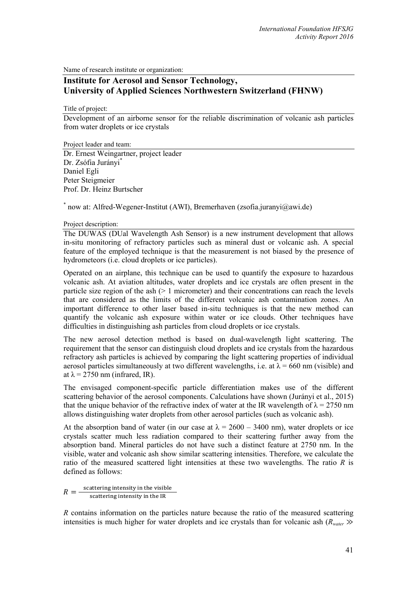Name of research institute or organization:

# **Institute for Aerosol and Sensor Technology, University of Applied Sciences Northwestern Switzerland (FHNW)**

Title of project:

Development of an airborne sensor for the reliable discrimination of volcanic ash particles from water droplets or ice crystals

Project leader and team:

Dr. Ernest Weingartner, project leader Dr. Zsófia Jurányi<sup>\*</sup> Daniel Egli Peter Steigmeier Prof. Dr. Heinz Burtscher

\* now at: Alfred-Wegener-Institut (AWI), Bremerhaven (zsofia.juranyi@awi.de)

Project description:

The DUWAS (DUal Wavelength Ash Sensor) is a new instrument development that allows in-situ monitoring of refractory particles such as mineral dust or volcanic ash. A special feature of the employed technique is that the measurement is not biased by the presence of hydrometeors (i.e. cloud droplets or ice particles).

Operated on an airplane, this technique can be used to quantify the exposure to hazardous volcanic ash. At aviation altitudes, water droplets and ice crystals are often present in the particle size region of the ash (> 1 micrometer) and their concentrations can reach the levels that are considered as the limits of the different volcanic ash contamination zones. An important difference to other laser based in-situ techniques is that the new method can quantify the volcanic ash exposure within water or ice clouds. Other techniques have difficulties in distinguishing ash particles from cloud droplets or ice crystals.

The new aerosol detection method is based on dual-wavelength light scattering. The requirement that the sensor can distinguish cloud droplets and ice crystals from the hazardous refractory ash particles is achieved by comparing the light scattering properties of individual aerosol particles simultaneously at two different wavelengths, i.e. at  $\lambda$  = 660 nm (visible) and at  $\lambda$  = 2750 nm (infrared, IR).

The envisaged component-specific particle differentiation makes use of the different scattering behavior of the aerosol components. Calculations have shown (Jurányi et al., 2015) that the unique behavior of the refractive index of water at the IR wavelength of  $\lambda = 2750$  nm allows distinguishing water droplets from other aerosol particles (such as volcanic ash).

At the absorption band of water (in our case at  $\lambda = 2600 - 3400$  nm), water droplets or ice crystals scatter much less radiation compared to their scattering further away from the absorption band. Mineral particles do not have such a distinct feature at 2750 nm. In the visible, water and volcanic ash show similar scattering intensities. Therefore, we calculate the ratio of the measured scattered light intensities at these two wavelengths. The ratio *R* is defined as follows:

 $R = \frac{\text{scattering intensity in the visible}}{1}$ scattering intensity in the IR

*R* contains information on the particles nature because the ratio of the measured scattering intensities is much higher for water droplets and ice crystals than for volcanic ash ( $R_{water}$ )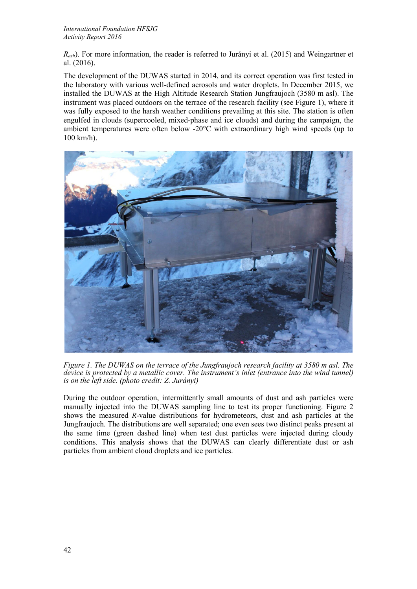#### *International Foundation HFSJG Activity Report 2016*

*Rash*). For more information, the reader is referred to Jurányi et al. (2015) and Weingartner et al. (2016).

The development of the DUWAS started in 2014, and its correct operation was first tested in the laboratory with various well-defined aerosols and water droplets. In December 2015, we installed the DUWAS at the High Altitude Research Station Jungfraujoch (3580 m asl). The instrument was placed outdoors on the terrace of the research facility (see Figure 1), where it was fully exposed to the harsh weather conditions prevailing at this site. The station is often engulfed in clouds (supercooled, mixed-phase and ice clouds) and during the campaign, the ambient temperatures were often below -20°C with extraordinary high wind speeds (up to 100 km/h).



*Figure 1. The DUWAS on the terrace of the Jungfraujoch research facility at 3580 m asl. The device is protected by a metallic cover. The instrument's inlet (entrance into the wind tunnel) is on the left side. (photo credit: Z. Jurányi)*

During the outdoor operation, intermittently small amounts of dust and ash particles were manually injected into the DUWAS sampling line to test its proper functioning. Figure 2 shows the measured *R*-value distributions for hydrometeors, dust and ash particles at the Jungfraujoch. The distributions are well separated; one even sees two distinct peaks present at the same time (green dashed line) when test dust particles were injected during cloudy conditions. This analysis shows that the DUWAS can clearly differentiate dust or ash particles from ambient cloud droplets and ice particles.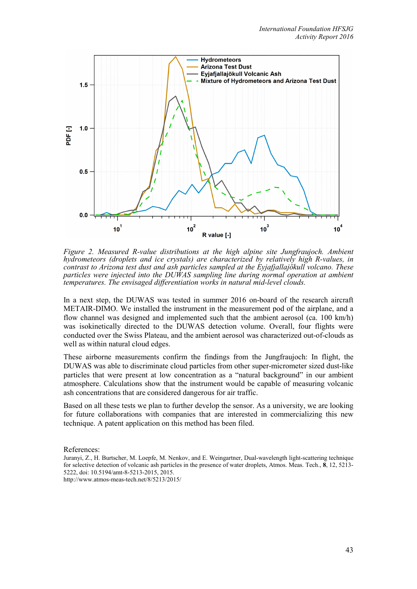

*Figure 2. Measured R-value distributions at the high alpine site Jungfraujoch. Ambient hydrometeors (droplets and ice crystals) are characterized by relatively high R-values, in contrast to Arizona test dust and ash particles sampled at the Eyjafjallajökull volcano. These particles were injected into the DUWAS sampling line during normal operation at ambient temperatures. The envisaged differentiation works in natural mid-level clouds.*

In a next step, the DUWAS was tested in summer 2016 on-board of the research aircraft METAIR-DIMO. We installed the instrument in the measurement pod of the airplane, and a flow channel was designed and implemented such that the ambient aerosol (ca. 100 km/h) was isokinetically directed to the DUWAS detection volume. Overall, four flights were conducted over the Swiss Plateau, and the ambient aerosol was characterized out-of-clouds as well as within natural cloud edges.

These airborne measurements confirm the findings from the Jungfraujoch: In flight, the DUWAS was able to discriminate cloud particles from other super-micrometer sized dust-like particles that were present at low concentration as a "natural background" in our ambient atmosphere. Calculations show that the instrument would be capable of measuring volcanic ash concentrations that are considered dangerous for air traffic.

Based on all these tests we plan to further develop the sensor. As a university, we are looking for future collaborations with companies that are interested in commercializing this new technique. A patent application on this method has been filed.

References:

Juranyi, Z., H. Burtscher, M. Loepfe, M. Nenkov, and E. Weingartner, Dual-wavelength light-scattering technique for selective detection of volcanic ash particles in the presence of water droplets, Atmos. Meas. Tech., **8**, 12, 5213- 5222, doi: 10.5194/amt-8-5213-2015, 2015. http://www.atmos-meas-tech.net/8/5213/2015/